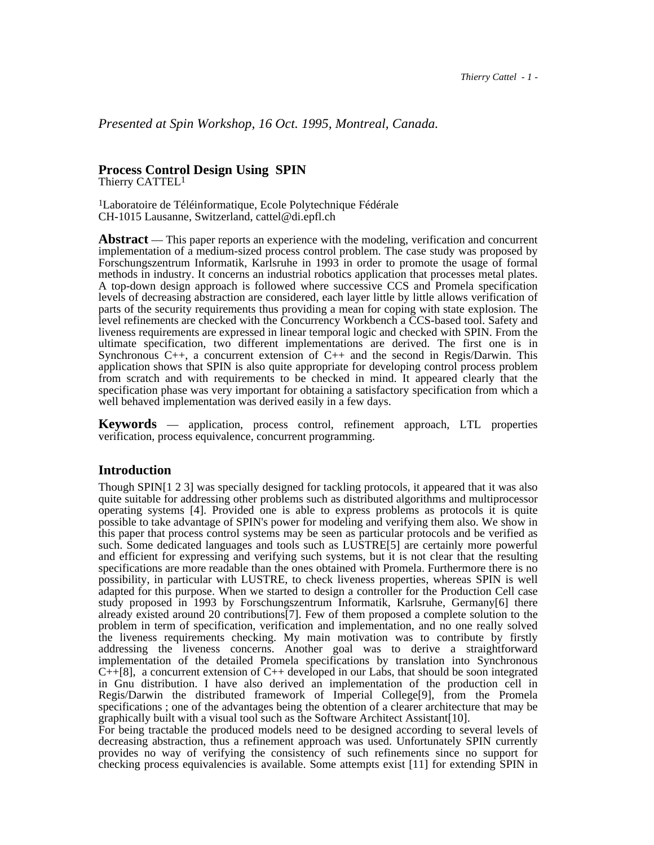## *Presented at Spin Workshop, 16 Oct. 1995, Montreal, Canada.*

# **Process Control Design Using SPIN**

Thierry CATTEL1

1Laboratoire de Téléinformatique, Ecole Polytechnique Fédérale CH-1015 Lausanne, Switzerland, cattel@di.epfl.ch

**Abstract** — This paper reports an experience with the modeling, verification and concurrent implementation of a medium-sized process control problem. The case study was proposed by Forschungszentrum Informatik, Karlsruhe in 1993 in order to promote the usage of formal methods in industry. It concerns an industrial robotics application that processes metal plates. A top-down design approach is followed where successive CCS and Promela specification levels of decreasing abstraction are considered, each layer little by little allows verification of parts of the security requirements thus providing a mean for coping with state explosion. The level refinements are checked with the Concurrency Workbench a CCS-based tool. Safety and liveness requirements are expressed in linear temporal logic and checked with SPIN. From the ultimate specification, two different implementations are derived. The first one is in Synchronous C++, a concurrent extension of C++ and the second in Regis/Darwin. This application shows that SPIN is also quite appropriate for developing control process problem from scratch and with requirements to be checked in mind. It appeared clearly that the specification phase was very important for obtaining a satisfactory specification from which a well behaved implementation was derived easily in a few days.

**Keywords** — application, process control, refinement approach, LTL properties verification, process equivalence, concurrent programming.

## **Introduction**

Though SPIN[1 2 3] was specially designed for tackling protocols, it appeared that it was also quite suitable for addressing other problems such as distributed algorithms and multiprocessor operating systems [4]. Provided one is able to express problems as protocols it is quite possible to take advantage of SPIN's power for modeling and verifying them also. We show in this paper that process control systems may be seen as particular protocols and be verified as such. Some dedicated languages and tools such as LUSTRE[5] are certainly more powerful and efficient for expressing and verifying such systems, but it is not clear that the resulting specifications are more readable than the ones obtained with Promela. Furthermore there is no possibility, in particular with LUSTRE, to check liveness properties, whereas SPIN is well adapted for this purpose. When we started to design a controller for the Production Cell case study proposed in 1993 by Forschungszentrum Informatik, Karlsruhe, Germany[6] there already existed around 20 contributions[7]. Few of them proposed a complete solution to the problem in term of specification, verification and implementation, and no one really solved the liveness requirements checking. My main motivation was to contribute by firstly addressing the liveness concerns. Another goal was to derive a straightforward implementation of the detailed Promela specifications by translation into Synchronous  $C++[8]$ , a concurrent extension of  $C++$  developed in our Labs, that should be soon integrated in Gnu distribution. I have also derived an implementation of the production cell in Regis/Darwin the distributed framework of Imperial College[9], from the Promela specifications ; one of the advantages being the obtention of a clearer architecture that may be graphically built with a visual tool such as the Software Architect Assistant[10].

For being tractable the produced models need to be designed according to several levels of decreasing abstraction, thus a refinement approach was used. Unfortunately SPIN currently provides no way of verifying the consistency of such refinements since no support for checking process equivalencies is available. Some attempts exist [11] for extending SPIN in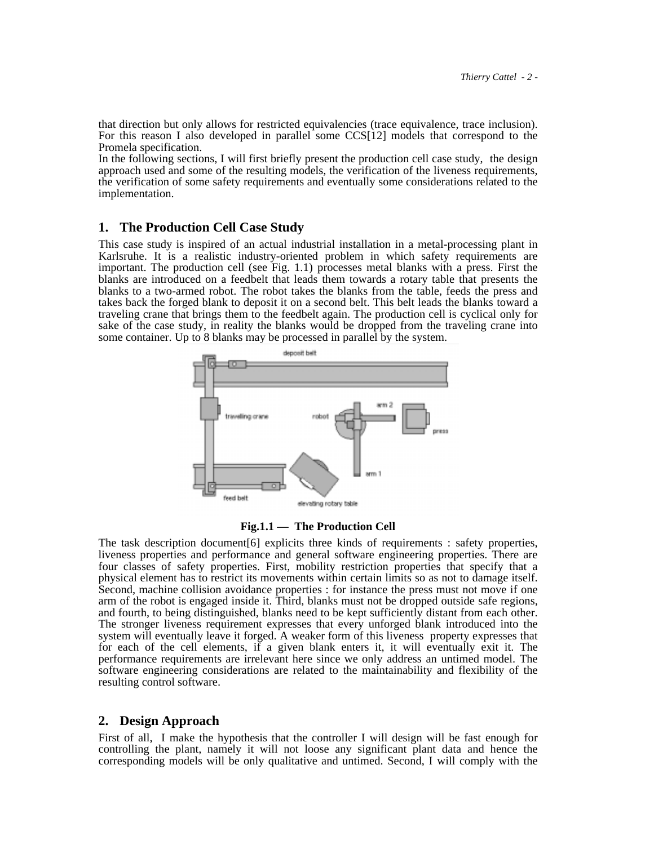that direction but only allows for restricted equivalencies (trace equivalence, trace inclusion). For this reason I also developed in parallel some CCS[12] models that correspond to the Promela specification.

In the following sections, I will first briefly present the production cell case study, the design approach used and some of the resulting models, the verification of the liveness requirements, the verification of some safety requirements and eventually some considerations related to the implementation.

## **1. The Production Cell Case Study**

This case study is inspired of an actual industrial installation in a metal-processing plant in Karlsruhe. It is a realistic industry-oriented problem in which safety requirements are important. The production cell (see Fig. 1.1) processes metal blanks with a press. First the blanks are introduced on a feedbelt that leads them towards a rotary table that presents the blanks to a two-armed robot. The robot takes the blanks from the table, feeds the press and takes back the forged blank to deposit it on a second belt. This belt leads the blanks toward a traveling crane that brings them to the feedbelt again. The production cell is cyclical only for sake of the case study, in reality the blanks would be dropped from the traveling crane into some container. Up to 8 blanks may be processed in parallel by the system.



**Fig.1.1 — The Production Cell**

The task description document[6] explicits three kinds of requirements : safety properties, liveness properties and performance and general software engineering properties. There are four classes of safety properties. First, mobility restriction properties that specify that a physical element has to restrict its movements within certain limits so as not to damage itself. Second, machine collision avoidance properties : for instance the press must not move if one arm of the robot is engaged inside it. Third, blanks must not be dropped outside safe regions, and fourth, to being distinguished, blanks need to be kept sufficiently distant from each other. The stronger liveness requirement expresses that every unforged blank introduced into the system will eventually leave it forged. A weaker form of this liveness property expresses that for each of the cell elements, if a given blank enters it, it will eventually exit it. The performance requirements are irrelevant here since we only address an untimed model. The software engineering considerations are related to the maintainability and flexibility of the resulting control software.

### **2. Design Approach**

First of all, I make the hypothesis that the controller I will design will be fast enough for controlling the plant, namely it will not loose any significant plant data and hence the corresponding models will be only qualitative and untimed. Second, I will comply with the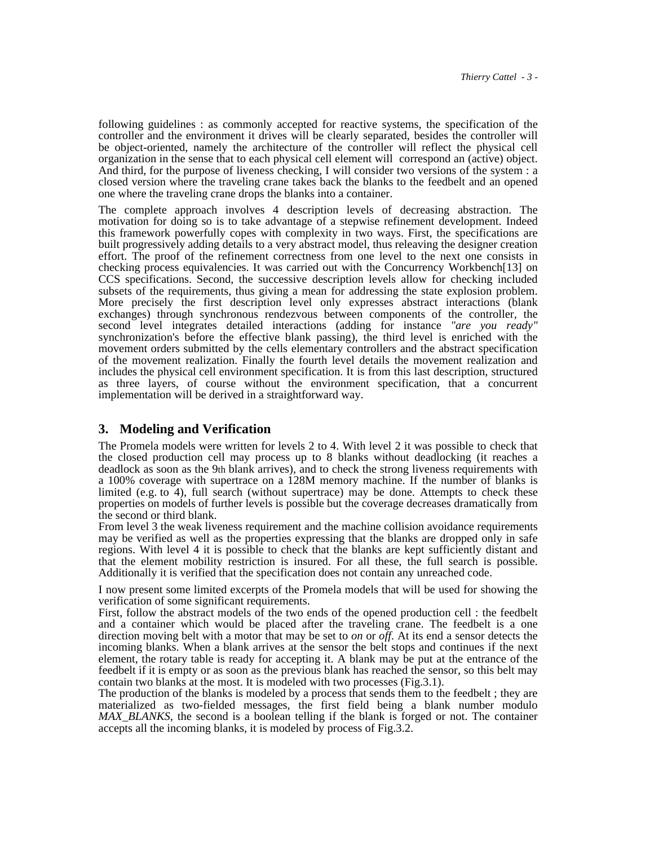following guidelines : as commonly accepted for reactive systems, the specification of the controller and the environment it drives will be clearly separated, besides the controller will be object-oriented, namely the architecture of the controller will reflect the physical cell organization in the sense that to each physical cell element will correspond an (active) object. And third, for the purpose of liveness checking, I will consider two versions of the system : a closed version where the traveling crane takes back the blanks to the feedbelt and an opened one where the traveling crane drops the blanks into a container.

The complete approach involves 4 description levels of decreasing abstraction. The motivation for doing so is to take advantage of a stepwise refinement development. Indeed this framework powerfully copes with complexity in two ways. First, the specifications are built progressively adding details to a very abstract model, thus releaving the designer creation effort. The proof of the refinement correctness from one level to the next one consists in checking process equivalencies. It was carried out with the Concurrency Workbench[13] on CCS specifications. Second, the successive description levels allow for checking included subsets of the requirements, thus giving a mean for addressing the state explosion problem. More precisely the first description level only expresses abstract interactions (blank exchanges) through synchronous rendezvous between components of the controller, the second level integrates detailed interactions (adding for instance *"are you ready"* synchronization's before the effective blank passing), the third level is enriched with the movement orders submitted by the cells elementary controllers and the abstract specification of the movement realization. Finally the fourth level details the movement realization and includes the physical cell environment specification. It is from this last description, structured as three layers, of course without the environment specification, that a concurrent implementation will be derived in a straightforward way.

# **3. Modeling and Verification**

The Promela models were written for levels 2 to 4. With level 2 it was possible to check that the closed production cell may process up to 8 blanks without deadlocking (it reaches a deadlock as soon as the 9th blank arrives), and to check the strong liveness requirements with a 100% coverage with supertrace on a 128M memory machine. If the number of blanks is limited (e.g. to 4), full search (without supertrace) may be done. Attempts to check these properties on models of further levels is possible but the coverage decreases dramatically from the second or third blank.

From level 3 the weak liveness requirement and the machine collision avoidance requirements may be verified as well as the properties expressing that the blanks are dropped only in safe regions. With level 4 it is possible to check that the blanks are kept sufficiently distant and that the element mobility restriction is insured. For all these, the full search is possible. Additionally it is verified that the specification does not contain any unreached code.

I now present some limited excerpts of the Promela models that will be used for showing the verification of some significant requirements.

First, follow the abstract models of the two ends of the opened production cell : the feedbelt and a container which would be placed after the traveling crane. The feedbelt is a one direction moving belt with a motor that may be set to *on* or *off*. At its end a sensor detects the incoming blanks. When a blank arrives at the sensor the belt stops and continues if the next element, the rotary table is ready for accepting it. A blank may be put at the entrance of the feedbelt if it is empty or as soon as the previous blank has reached the sensor, so this belt may contain two blanks at the most. It is modeled with two processes (Fig.3.1).

The production of the blanks is modeled by a process that sends them to the feedbelt ; they are materialized as two-fielded messages, the first field being a blank number modulo *MAX\_BLANKS*, the second is a boolean telling if the blank is forged or not. The container accepts all the incoming blanks, it is modeled by process of Fig.3.2.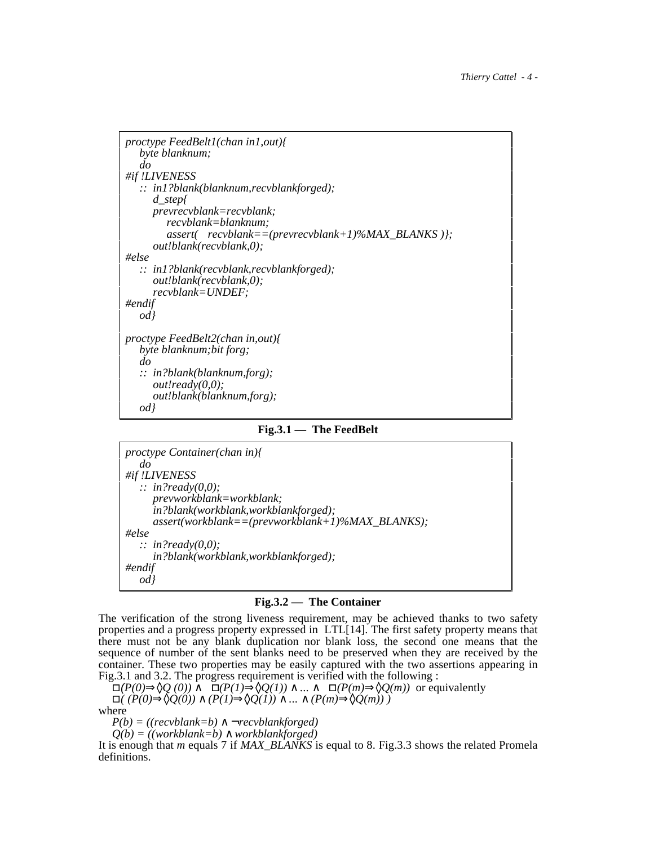```
proctype FeedBelt1(chan in1,out){
   byte blanknum;
   do
#if !LIVENESS
    :: in1?blank(blanknum,recvblankforged);
      d_step{
      prevrecvblank=recvblank;
         recvblank=blanknum;
         assert( recvblank==(prevrecvblank+1)%MAX_BLANKS )};
      out!blank(recvblank,0);
#else
    :: in1?blank(recvblank,recvblankforged);
      out!blank(recvblank,0);
      recvblank=UNDEF;
#endif
    od}
proctype FeedBelt2(chan in,out){
   byte blanknum;bit forg;
    do
    :: in?blank(blanknum,forg);
      out!ready(0,0);
      out!blank(blanknum,forg);
    od}
```
#### **Fig.3.1 — The FeedBelt**

```
proctype Container(chan in){
  do
#if !LIVENESS
   :: in?ready(0,0);
      prevworkblank=workblank;
      in?blank(workblank,workblankforged);
      assert(workblank==(prevworkblank+1)%MAX_BLANKS);
#else
    :: in?ready(0,0);
      in?blank(workblank,workblankforged);
#endif
   od}
```
#### **Fig.3.2 — The Container**

The verification of the strong liveness requirement, may be achieved thanks to two safety properties and a progress property expressed in LTL[14]. The first safety property means that there must not be any blank duplication nor blank loss, the second one means that the sequence of number of the sent blanks need to be preserved when they are received by the container. These two properties may be easily captured with the two assertions appearing in Fig.3.1 and 3.2. The progress requirement is verified with the following :

 $\Box(P(0) \Rightarrow \Diamond Q(0))$   $\land$   $\Box(P(1) \Rightarrow \Diamond Q(1))$   $\land \dots \land$   $\Box(P(m) \Rightarrow \Diamond Q(m))$  or equivalently  $□( (P(0) \Rightarrow \mathcal{O}Q(0)) \wedge (P(1) \Rightarrow \mathcal{O}Q(1)) \wedge ... \wedge (P(m) \Rightarrow \mathcal{O}Q(m)) )$ 

where

 $P(b) = ((recvblank=b) \land \neg revblankforged)$ 

*Q(b) = ((workblank=b)* ∧ *workblankforged)*

It is enough that *m* equals 7 if *MAX\_BLANKS* is equal to 8. Fig.3.3 shows the related Promela definitions.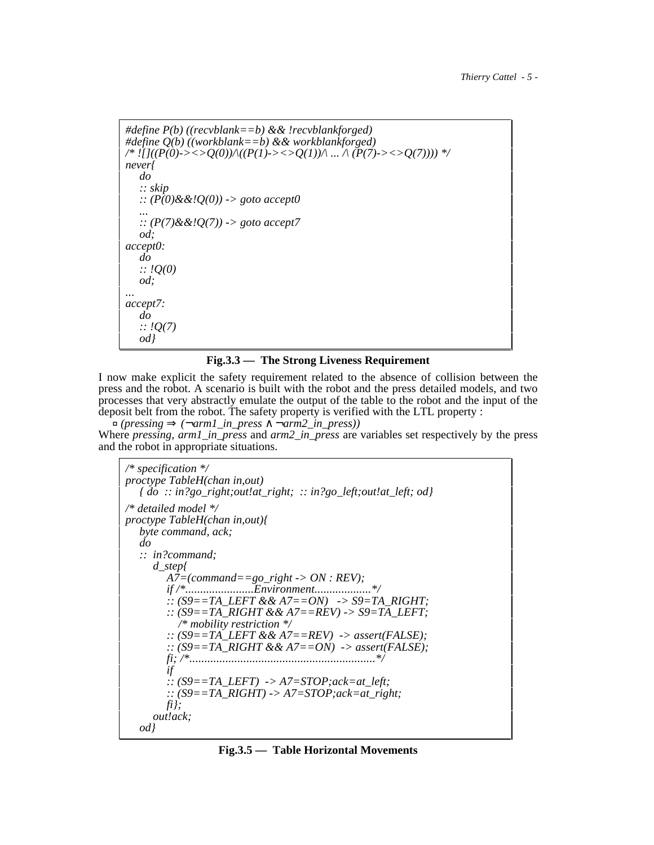```
#define P(b) ((recvblank==b) && !recvblankforged)
#define Q(b) ((workblank==b) && workblankforged)
/* ! \prod((P(0)-><>Q(0)) \wedge ((P(1)-><>Q(1)) \wedge ... \wedge (P(7)-><>Q(7)))) */
never{
   do
   :: skip
    :: (P(0)&&!Q(0)) -> goto accept0
   ...
    :: (P(7)&&!Q(7)) -> goto accept7
    od;
accept0:
    do
    :: !Q(0)
    od;
...
accept7:
    do
    :: !Q(7)
    od}
```
#### **Fig.3.3 — The Strong Liveness Requirement**

I now make explicit the safety requirement related to the absence of collision between the press and the robot. A scenario is built with the robot and the press detailed models, and two processes that very abstractly emulate the output of the table to the robot and the input of the deposit belt from the robot. The safety property is verified with the LTL property :

¤ *(pressing* ⇒ *(*¬*arm1\_in\_press* ∧ ¬*arm2\_in\_press))*

Where *pressing*, *arm1\_in\_press* and *arm2\_in\_press* are variables set respectively by the press and the robot in appropriate situations.

```
/* specification */
proctype TableH(chan in,out)
   { do :: in?go_right;out!at_right; :: in?go_left;out!at_left; od}
/* detailed model */
proctype TableH(chan in,out){
   byte command, ack;
    do
    :: in?command;
      d_step{
         A7=(command==go_right -> ON : REV);
         if /*.......................Environment...................*/
         :: (S9==TA_LEFT && A7==ON) -> S9=TA_RIGHT;
         :: (S9==TA_RIGHT && A7==REV) -> S9=TA_LEFT;
            /* mobility restriction */
         :: (S9==TA_LEFT && A7==REV) -> assert(FALSE);
         :: (S9==TA_RIGHT && A7==ON) -> assert(FALSE);
         fi; /*..............................................................*/
         if
         :: (S9==TA_LEFT) -> A7=STOP;ack=at_left;
         :: (S9==TA_RIGHT) -> A7=STOP;ack=at_right;
         fi};
      out!ack;
    od}
```
**Fig.3.5 — Table Horizontal Movements**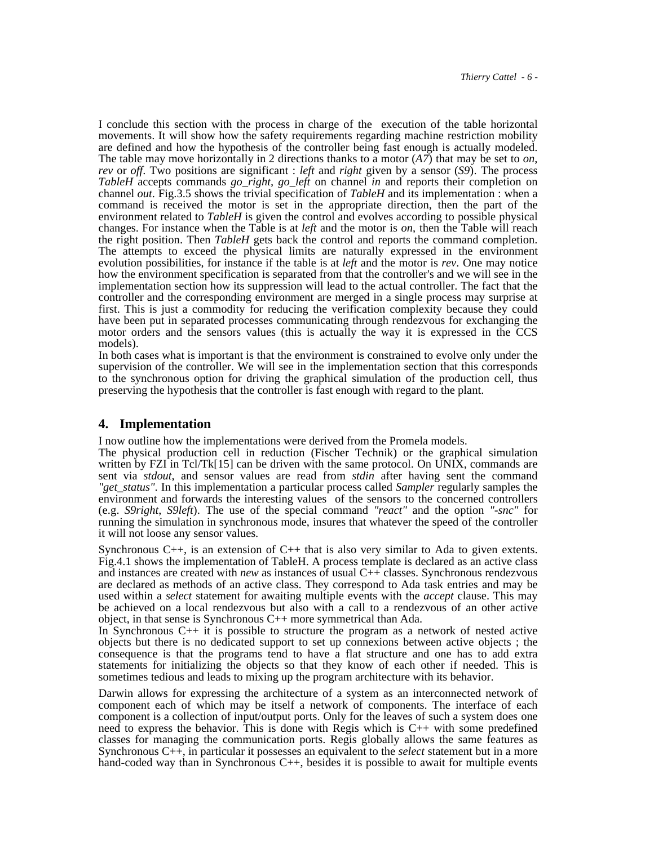I conclude this section with the process in charge of the execution of the table horizontal movements. It will show how the safety requirements regarding machine restriction mobility are defined and how the hypothesis of the controller being fast enough is actually modeled. The table may move horizontally in 2 directions thanks to a motor  $(A\overline{A})$  that may be set to *on*, *rev* or *off*. Two positions are significant : *left* and *right* given by a sensor (*S9*). The process *TableH* accepts commands *go\_right, go\_left* on channel *in* and reports their completion on channel *out*. Fig.3.5 shows the trivial specification of *TableH* and its implementation : when a command is received the motor is set in the appropriate direction, then the part of the environment related to *TableH* is given the control and evolves according to possible physical changes. For instance when the Table is at *left* and the motor is *on*, then the Table will reach the right position. Then *TableH* gets back the control and reports the command completion. The attempts to exceed the physical limits are naturally expressed in the environment evolution possibilities, for instance if the table is at *left* and the motor is *rev*. One may notice how the environment specification is separated from that the controller's and we will see in the implementation section how its suppression will lead to the actual controller. The fact that the controller and the corresponding environment are merged in a single process may surprise at first. This is just a commodity for reducing the verification complexity because they could have been put in separated processes communicating through rendezvous for exchanging the motor orders and the sensors values (this is actually the way it is expressed in the CCS models).

In both cases what is important is that the environment is constrained to evolve only under the supervision of the controller. We will see in the implementation section that this corresponds to the synchronous option for driving the graphical simulation of the production cell, thus preserving the hypothesis that the controller is fast enough with regard to the plant.

### **4. Implementation**

I now outline how the implementations were derived from the Promela models.

The physical production cell in reduction (Fischer Technik) or the graphical simulation written by FZI in Tcl/Tk[15] can be driven with the same protocol. On UNIX, commands are sent via *stdout*, and sensor values are read from *stdin* after having sent the command *"get\_status"*. In this implementation a particular process called *Sampler* regularly samples the environment and forwards the interesting values of the sensors to the concerned controllers (e.g. *S9right*, *S9left*). The use of the special command *"react"* and the option *"-snc"* for running the simulation in synchronous mode, insures that whatever the speed of the controller it will not loose any sensor values.

Synchronous  $C_{++}$ , is an extension of  $C_{++}$  that is also very similar to Ada to given extents. Fig.4.1 shows the implementation of TableH. A process template is declared as an active class and instances are created with *new* as instances of usual C++ classes. Synchronous rendezvous are declared as methods of an active class. They correspond to Ada task entries and may be used within a *select* statement for awaiting multiple events with the *accept* clause. This may be achieved on a local rendezvous but also with a call to a rendezvous of an other active object, in that sense is Synchronous C++ more symmetrical than Ada.

In Synchronous C++ it is possible to structure the program as a network of nested active objects but there is no dedicated support to set up connexions between active objects ; the consequence is that the programs tend to have a flat structure and one has to add extra statements for initializing the objects so that they know of each other if needed. This is sometimes tedious and leads to mixing up the program architecture with its behavior.

Darwin allows for expressing the architecture of a system as an interconnected network of component each of which may be itself a network of components. The interface of each component is a collection of input/output ports. Only for the leaves of such a system does one need to express the behavior. This is done with Regis which is C++ with some predefined classes for managing the communication ports. Regis globally allows the same features as Synchronous C++, in particular it possesses an equivalent to the *select* statement but in a more hand-coded way than in Synchronous  $C_{++}$ , besides it is possible to await for multiple events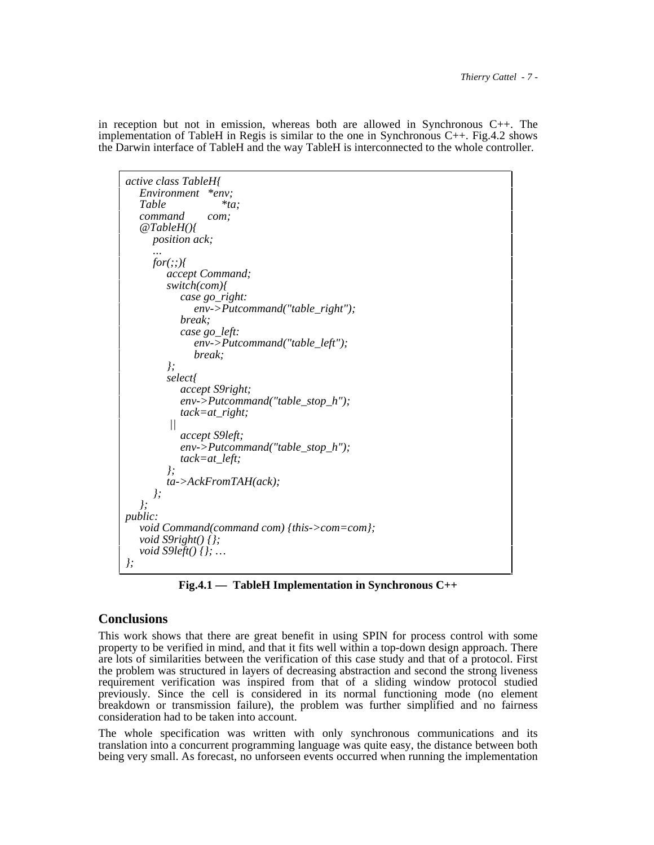in reception but not in emission, whereas both are allowed in Synchronous C++. The implementation of TableH in Regis is similar to the one in Synchronous C++. Fig.4.2 shows the Darwin interface of TableH and the way TableH is interconnected to the whole controller.

```
active class TableH{
    Environment *env;
   Table command com;
    @TableH(){
     position ack;
 ...
      for(;;){
         accept Command;
         switch(com){
            case go_right:
               env->Putcommand("table_right");
            break;
            case go_left:
               env->Putcommand("table_left");
              break;
         };
         select{
           accept S9right;
           env->Putcommand("table_stop_h");
            tack=at_right;
          ||
           accept S9left;
            env->Putcommand("table_stop_h");
            tack=at_left;
         };
         ta->AckFromTAH(ack);
      };
   };
public:
    void Command(command com) {this->com=com};
    void S9right() {};
    void S9left() {}; …
};
```
**Fig.4.1 — TableH Implementation in Synchronous C++**

## **Conclusions**

This work shows that there are great benefit in using SPIN for process control with some property to be verified in mind, and that it fits well within a top-down design approach. There are lots of similarities between the verification of this case study and that of a protocol. First the problem was structured in layers of decreasing abstraction and second the strong liveness requirement verification was inspired from that of a sliding window protocol studied previously. Since the cell is considered in its normal functioning mode (no element breakdown or transmission failure), the problem was further simplified and no fairness consideration had to be taken into account.

The whole specification was written with only synchronous communications and its translation into a concurrent programming language was quite easy, the distance between both being very small. As forecast, no unforseen events occurred when running the implementation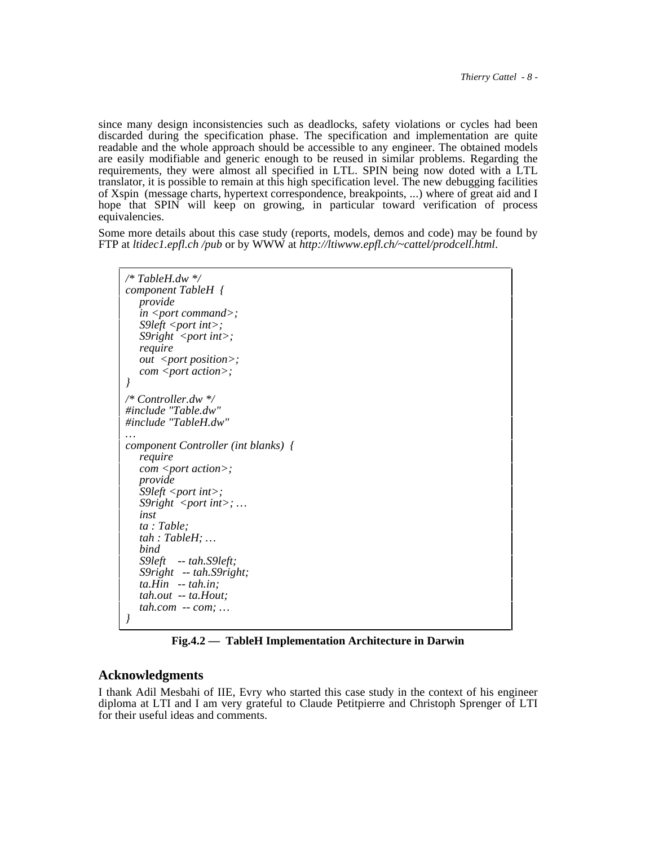since many design inconsistencies such as deadlocks, safety violations or cycles had been discarded during the specification phase. The specification and implementation are quite readable and the whole approach should be accessible to any engineer. The obtained models are easily modifiable and generic enough to be reused in similar problems. Regarding the requirements, they were almost all specified in LTL. SPIN being now doted with a LTL translator, it is possible to remain at this high specification level. The new debugging facilities of Xspin (message charts, hypertext correspondence, breakpoints, ...) where of great aid and I hope that SPIN will keep on growing, in particular toward verification of process equivalencies.

Some more details about this case study (reports, models, demos and code) may be found by FTP at *ltidec1.epfl.ch /pub* or by WWW at *http://ltiwww.epfl.ch/~cattel/prodcell.html*.

*/\* TableH.dw \*/ component TableH { provide in <port command>; S9left <port int>; S9right <port int>; require out <port position>; com <port action>; } /\* Controller.dw \*/ #include "Table.dw" #include "TableH.dw" … component Controller (int blanks) { require com <port action>; provide S9left <port int>; S9right <port int>; ... inst ta : Table; tah : TableH; … bind S9left -- tah.S9left; S9right -- tah.S9right; ta.Hin -- tah.in; tah.out -- ta.Hout; tah.com -- com; … }*

**Fig.4.2 — TableH Implementation Architecture in Darwin**

### **Acknowledgments**

I thank Adil Mesbahi of IIE, Evry who started this case study in the context of his engineer diploma at LTI and I am very grateful to Claude Petitpierre and Christoph Sprenger of LTI for their useful ideas and comments.